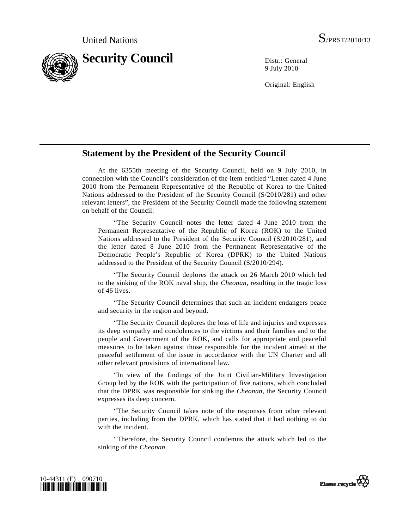

9 July 2010

Original: English

## **Statement by the President of the Security Council**

 At the 6355th meeting of the Security Council, held on 9 July 2010, in connection with the Council's consideration of the item entitled "Letter dated 4 June 2010 from the Permanent Representative of the Republic of Korea to the United Nations addressed to the President of the Security Council (S/2010/281) and other relevant letters", the President of the Security Council made the following statement on behalf of the Council:

 "The Security Council notes the letter dated 4 June 2010 from the Permanent Representative of the Republic of Korea (ROK) to the United Nations addressed to the President of the Security Council (S/2010/281), and the letter dated 8 June 2010 from the Permanent Representative of the Democratic People's Republic of Korea (DPRK) to the United Nations addressed to the President of the Security Council (S/2010/294).

 "The Security Council deplores the attack on 26 March 2010 which led to the sinking of the ROK naval ship, the *Cheonan*, resulting in the tragic loss of 46 lives.

 "The Security Council determines that such an incident endangers peace and security in the region and beyond.

 "The Security Council deplores the loss of life and injuries and expresses its deep sympathy and condolences to the victims and their families and to the people and Government of the ROK, and calls for appropriate and peaceful measures to be taken against those responsible for the incident aimed at the peaceful settlement of the issue in accordance with the UN Charter and all other relevant provisions of international law.

 "In view of the findings of the Joint Civilian-Military Investigation Group led by the ROK with the participation of five nations, which concluded that the DPRK was responsible for sinking the *Cheonan*, the Security Council expresses its deep concern.

 "The Security Council takes note of the responses from other relevant parties, including from the DPRK, which has stated that it had nothing to do with the incident.

 "Therefore, the Security Council condemns the attack which led to the sinking of the *Cheonan*.